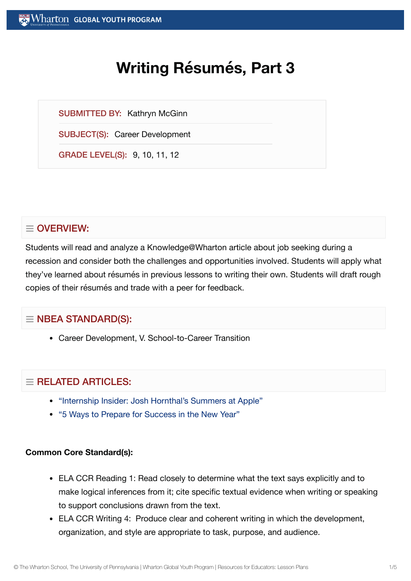# **Writing Résumés, Part 3**

SUBMITTED BY: Kathryn McGinn

SUBJECT(S): Career Development

GRADE LEVEL(S): 9, 10, 11, 12

# $\equiv$  OVERVIEW:

Students will read and analyze a Knowledge@Wharton article about job seeking during a recession and consider both the challenges and opportunities involved. Students will apply what they've learned about résumés in previous lessons to writing their own. Students will draft rough copies of their résumés and trade with a peer for feedback.

## $\equiv$  NBEA STANDARD(S):

Career Development, V. School-to-Career Transition

## $=$  RELATED ARTICLES:

- "Internship Insider: Josh [Hornthal's Summers at](https://globalyouth.wharton.upenn.edu/articles/internship-insider-josh-hornthals-summers-at-apple/) Apple"
- "5 Ways to Prepare for [Success in](https://globalyouth.wharton.upenn.edu/articles/a-new-year-and-new-opportunities-are-you-ready/) the New Year"

#### **Common Core Standard(s):**

- ELA CCR Reading 1: Read closely to determine what the text says explicitly and to make logical inferences from it; cite specific textual evidence when writing or speaking to support conclusions drawn from the text.
- ELA CCR Writing 4: Produce clear and coherent writing in which the development, organization, and style are appropriate to task, purpose, and audience.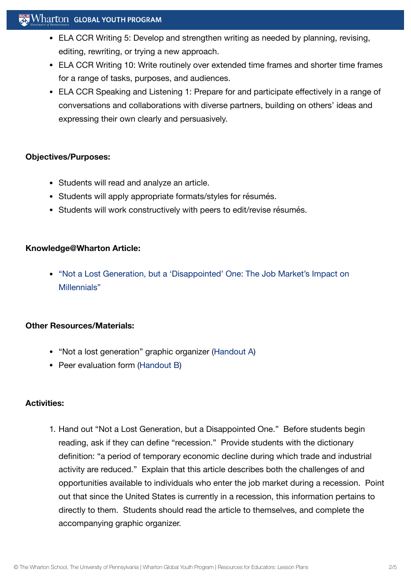#### $\mathbb{R}^n$  Wharton Global Youth Program

- ELA CCR Writing 5: Develop and strengthen writing as needed by planning, revising, editing, rewriting, or trying a new approach.
- ELA CCR Writing 10: Write routinely over extended time frames and shorter time frames for a range of tasks, purposes, and audiences.
- ELA CCR Speaking and Listening 1: Prepare for and participate effectively in a range of conversations and collaborations with diverse partners, building on others' ideas and expressing their own clearly and persuasively.

#### **Objectives/Purposes:**

- Students will read and analyze an article.
- Students will apply appropriate formats/styles for résumés.
- Students will work constructively with peers to edit/revise résumés.

#### **Knowledge@Wharton Article:**

• "Not a Lost Generation, but a 'Disappointed' One: The Job [Market's Impact](http://knowledge.wharton.upenn.edu/article.cfm?articleid=2619) on Millennials"

#### **Other Resources/Materials:**

- "Not a lost generation" graphic organizer ([Handout](https://globalyouth.wharton.upenn.edu/wp-content/uploads/2012/01/Career-Development-3_handoutA.pdf) A)
- Peer evaluation form [\(Handout](https://globalyouth.wharton.upenn.edu/wp-content/uploads/2012/01/Career-Development-3.handoutB.pdf) B)

#### **Activities:**

1. Hand out "Not a Lost Generation, but a Disappointed One." Before students begin reading, ask if they can define "recession." Provide students with the dictionary definition: "a period of temporary economic decline during which trade and industrial activity are reduced." Explain that this article describes both the challenges of and opportunities available to individuals who enter the job market during a recession. Point out that since the United States is currently in a recession, this information pertains to directly to them. Students should read the article to themselves, and complete the accompanying graphic organizer.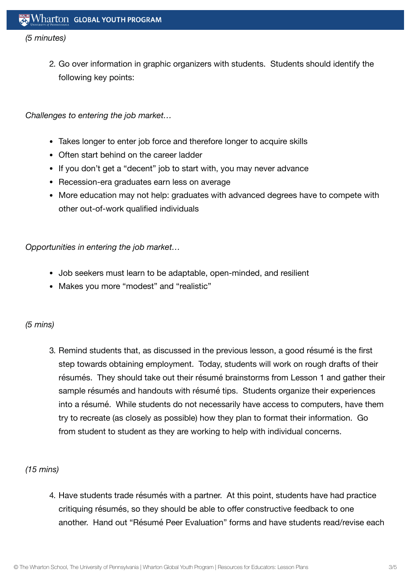#### *(5 minutes)*

2. Go over information in graphic organizers with students. Students should identify the following key points:

*Challenges to entering the job market…*

- Takes longer to enter job force and therefore longer to acquire skills
- Often start behind on the career ladder
- If you don't get a "decent" job to start with, you may never advance
- Recession-era graduates earn less on average
- More education may not help: graduates with advanced degrees have to compete with other out-of-work qualified individuals

*Opportunities in entering the job market…*

- Job seekers must learn to be adaptable, open-minded, and resilient
- Makes you more "modest" and "realistic"

#### *(5 mins)*

3. Remind students that, as discussed in the previous lesson, a good résumé is the first step towards obtaining employment. Today, students will work on rough drafts of their résumés. They should take out their résumé brainstorms from Lesson 1 and gather their sample résumés and handouts with résumé tips. Students organize their experiences into a résumé. While students do not necessarily have access to computers, have them try to recreate (as closely as possible) how they plan to format their information. Go from student to student as they are working to help with individual concerns.

#### *(15 mins)*

4. Have students trade résumés with a partner. At this point, students have had practice critiquing résumés, so they should be able to offer constructive feedback to one another. Hand out "Résumé Peer Evaluation" forms and have students read/revise each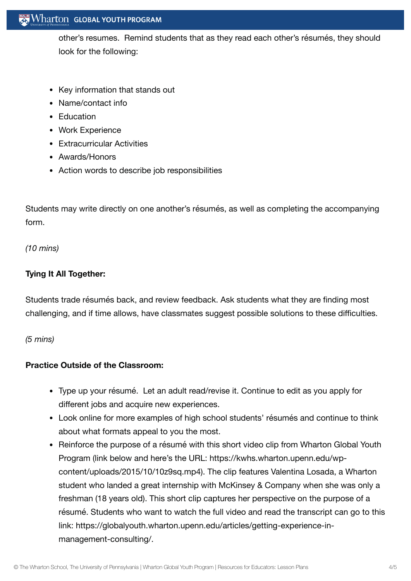#### Wharton GLOBAL YOUTH PROGRAM

other's resumes. Remind students that as they read each other's résumés, they should look for the following:

- Key information that stands out
- Name/contact info
- Education
- Work Experience
- Extracurricular Activities
- Awards/Honors
- Action words to describe job responsibilities

Students may write directly on one another's résumés, as well as completing the accompanying form.

*(10 mins)*

#### **Tying It All Together:**

Students trade résumés back, and review feedback. Ask students what they are finding most challenging, and if time allows, have classmates suggest possible solutions to these difficulties.

*(5 mins)*

#### **Practice Outside of the Classroom:**

- Type up your résumé. Let an adult read/revise it. Continue to edit as you apply for different jobs and acquire new experiences.
- Look online for more examples of high school students' résumés and continue to think about what formats appeal to you the most.
- Reinforce the purpose of a résumé with this short video clip from Wharton Global Youth Program (link below and here's the URL: https://kwhs.wharton.upenn.edu/wpcontent/uploads/2015/10/10z9sq.mp4). The clip features Valentina Losada, a Wharton student who landed a great internship with McKinsey & Company when she was only a freshman (18 years old). This short clip captures her perspective on the purpose of a résumé. Students who want to watch the full video and read the transcript can go to this link: https://globalyouth.wharton.upenn.edu/articles/getting-experience-inmanagement-consulting/.